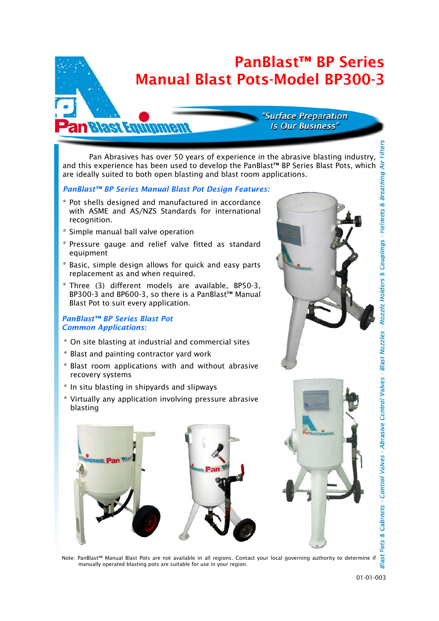## PanBlast™ BP Series Manual Blast Pots-Model BP300-3

#### "Surface Preparation **Is Our Business"**

 Pan Abrasives has over 50 years of experience in the abrasive blasting industry, and this experience has been used to develop the PanBlast<sup>TM</sup> BP Series Blast Pots, which  $\frac{1}{2}$ are ideally suited to both open blasting and blast room applications. Cabinets - Control Valves - Abrasive Control Valves - Blast Nozzles - Nozzle Holders & Couplings - Helmets & Breathing

#### *PanBlast™ BP Series Manual Blast Pot Design Features:*

- \* Pot shells designed and manufactured in accordance with ASME and AS/NZS Standards for international recognition.
- \* Simple manual ball valve operation

**an Blast Equipment** 

- \* Pressure gauge and relief valve fitted as standard equipment
- \* Basic, simple design allows for quick and easy parts replacement as and when required.
- \* Three (3) different models are available, BP50-3, BP300-3 and BP600-3, so there is a PanBlast™ Manual Blast Pot to suit every application.

#### *PanBlast™ BP Series Blast Pot Common Applications:*

- \* On site blasting at industrial and commercial sites
- \* Blast and painting contractor yard work
- \* Blast room applications with and without abrasive recovery systems
- \* In situ blasting in shipyards and slipways
- \* Virtually any application involving pressure abrasive blasting



Note: PanBlast™ Manual Blast Pots are not available in all regions. Contact your local governing authority to determine if manually operated blasting pots are suitable for use in your region.

S Pots